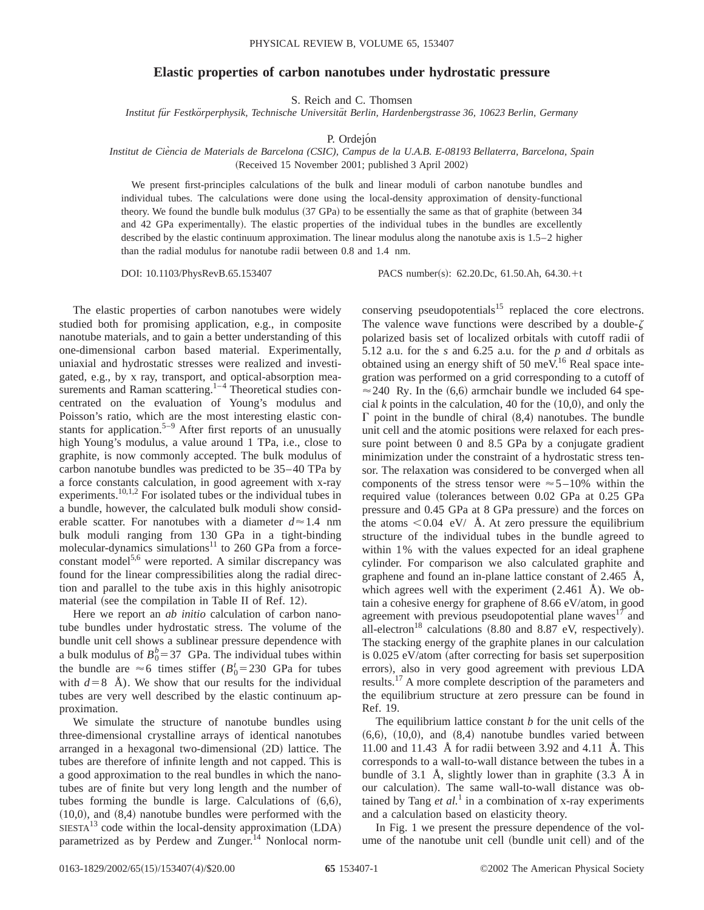## **Elastic properties of carbon nanotubes under hydrostatic pressure**

S. Reich and C. Thomsen

*Institut fu¨r Festko¨rperphysik, Technische Universita¨t Berlin, Hardenbergstrasse 36, 10623 Berlin, Germany*

P. Ordejón

## *Institut de Cie`ncia de Materials de Barcelona (CSIC), Campus de la U.A.B. E-08193 Bellaterra, Barcelona, Spain* (Received 15 November 2001; published 3 April 2002)

We present first-principles calculations of the bulk and linear moduli of carbon nanotube bundles and individual tubes. The calculations were done using the local-density approximation of density-functional theory. We found the bundle bulk modulus  $(37 \text{ GPa})$  to be essentially the same as that of graphite (between 34 and 42 GPa experimentally). The elastic properties of the individual tubes in the bundles are excellently described by the elastic continuum approximation. The linear modulus along the nanotube axis is 1.5–2 higher than the radial modulus for nanotube radii between 0.8 and 1.4 nm.

DOI: 10.1103/PhysRevB.65.153407 PACS number(s): 62.20.Dc, 61.50.Ah, 64.30.+t

The elastic properties of carbon nanotubes were widely studied both for promising application, e.g., in composite nanotube materials, and to gain a better understanding of this one-dimensional carbon based material. Experimentally, uniaxial and hydrostatic stresses were realized and investigated, e.g., by x ray, transport, and optical-absorption measurements and Raman scattering. $1-4$  Theoretical studies concentrated on the evaluation of Young's modulus and Poisson's ratio, which are the most interesting elastic constants for application.<sup>5–9</sup> After first reports of an unusually high Young's modulus, a value around 1 TPa, i.e., close to graphite, is now commonly accepted. The bulk modulus of carbon nanotube bundles was predicted to be 35–40 TPa by a force constants calculation, in good agreement with x-ray experiments.10,1,2 For isolated tubes or the individual tubes in a bundle, however, the calculated bulk moduli show considerable scatter. For nanotubes with a diameter  $d \approx 1.4$  nm bulk moduli ranging from 130 GPa in a tight-binding molecular-dynamics simulations<sup>11</sup> to 260 GPa from a forceconstant model<sup>5,6</sup> were reported. A similar discrepancy was found for the linear compressibilities along the radial direction and parallel to the tube axis in this highly anisotropic material (see the compilation in Table II of Ref. 12).

Here we report an *ab initio* calculation of carbon nanotube bundles under hydrostatic stress. The volume of the bundle unit cell shows a sublinear pressure dependence with a bulk modulus of  $B_0^b = 37$  GPa. The individual tubes within the bundle are  $\approx 6$  times stiffer ( $B_0^t = 230$  GPa for tubes with  $d=8$  Å). We show that our results for the individual tubes are very well described by the elastic continuum approximation.

We simulate the structure of nanotube bundles using three-dimensional crystalline arrays of identical nanotubes arranged in a hexagonal two-dimensional  $(2D)$  lattice. The tubes are therefore of infinite length and not capped. This is a good approximation to the real bundles in which the nanotubes are of finite but very long length and the number of tubes forming the bundle is large. Calculations of  $(6,6)$ ,  $(10,0)$ , and  $(8,4)$  nanotube bundles were performed with the  $SIESTA<sup>13</sup> code within the local-density approximation (LDA)$ parametrized as by Perdew and Zunger.<sup>14</sup> Nonlocal normconserving pseudopotentials<sup>15</sup> replaced the core electrons. The valence wave functions were described by a double- $\zeta$ polarized basis set of localized orbitals with cutoff radii of 5.12 a.u. for the *s* and 6.25 a.u. for the *p* and *d* orbitals as obtained using an energy shift of 50 meV.<sup>16</sup> Real space integration was performed on a grid corresponding to a cutoff of  $\approx$  240 Ry. In the (6,6) armchair bundle we included 64 special  $k$  points in the calculation, 40 for the  $(10,0)$ , and only the  $\Gamma$  point in the bundle of chiral  $(8,4)$  nanotubes. The bundle unit cell and the atomic positions were relaxed for each pressure point between 0 and 8.5 GPa by a conjugate gradient minimization under the constraint of a hydrostatic stress tensor. The relaxation was considered to be converged when all components of the stress tensor were  $\approx$  5-10% within the required value (tolerances between 0.02 GPa at 0.25 GPa pressure and 0.45 GPa at 8 GPa pressure) and the forces on the atoms  $\langle 0.04 \, \text{eV} / \, \text{A}$ . At zero pressure the equilibrium structure of the individual tubes in the bundle agreed to within 1% with the values expected for an ideal graphene cylinder. For comparison we also calculated graphite and graphene and found an in-plane lattice constant of 2.465 Å, which agrees well with the experiment  $(2.461 \text{ Å})$ . We obtain a cohesive energy for graphene of 8.66 eV/atom, in good agreement with previous pseudopotential plane waves<sup>17</sup> and all-electron<sup>18</sup> calculations  $(8.80 \text{ and } 8.87 \text{ eV},$  respectively). The stacking energy of the graphite planes in our calculation is  $0.025$  eV/atom (after correcting for basis set superposition errors), also in very good agreement with previous LDA results.<sup>17</sup> A more complete description of the parameters and the equilibrium structure at zero pressure can be found in Ref. 19.

The equilibrium lattice constant *b* for the unit cells of the  $(6,6)$ ,  $(10,0)$ , and  $(8,4)$  nanotube bundles varied between 11.00 and 11.43 Å for radii between 3.92 and 4.11 Å. This corresponds to a wall-to-wall distance between the tubes in a bundle of 3.1 Å, slightly lower than in graphite (3.3 Å in our calculation). The same wall-to-wall distance was obtained by Tang  $et$   $al$ <sup>1</sup> in a combination of x-ray experiments and a calculation based on elasticity theory.

In Fig. 1 we present the pressure dependence of the volume of the nanotube unit cell (bundle unit cell) and of the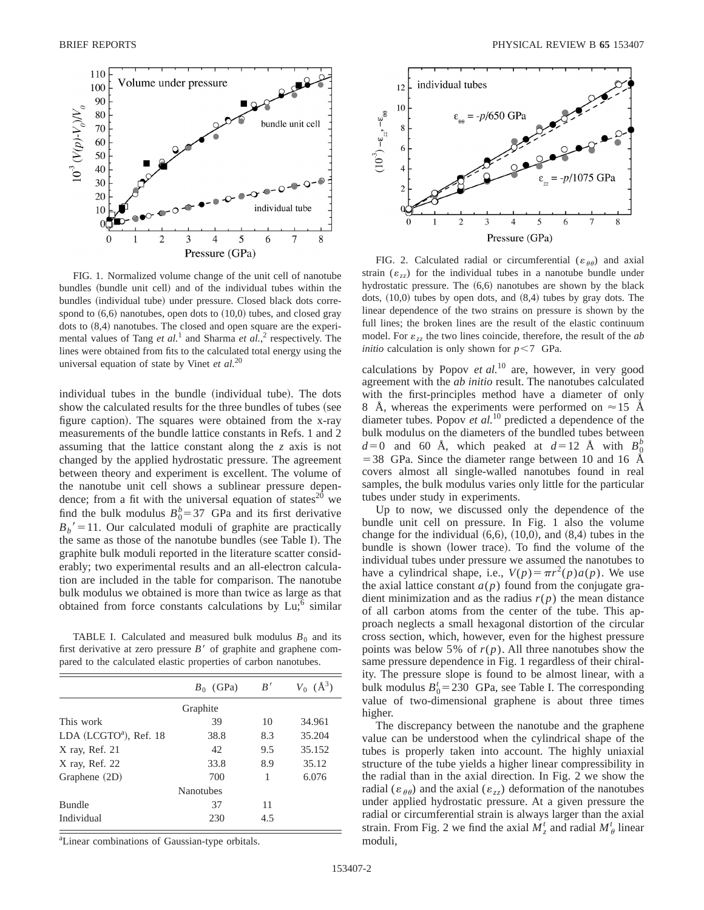

FIG. 1. Normalized volume change of the unit cell of nanotube bundles (bundle unit cell) and of the individual tubes within the bundles (individual tube) under pressure. Closed black dots correspond to  $(6,6)$  nanotubes, open dots to  $(10,0)$  tubes, and closed gray dots to  $(8,4)$  nanotubes. The closed and open square are the experimental values of Tang *et al.*<sup>1</sup> and Sharma *et al.*, <sup>2</sup> respectively. The lines were obtained from fits to the calculated total energy using the universal equation of state by Vinet *et al.*<sup>20</sup>

individual tubes in the bundle (individual tube). The dots show the calculated results for the three bundles of tubes (see figure caption). The squares were obtained from the x-ray measurements of the bundle lattice constants in Refs. 1 and 2 assuming that the lattice constant along the *z* axis is not changed by the applied hydrostatic pressure. The agreement between theory and experiment is excellent. The volume of the nanotube unit cell shows a sublinear pressure dependence; from a fit with the universal equation of states<sup>20</sup> we find the bulk modulus  $B_0^b = 37$  GPa and its first derivative  $B_b' = 11$ . Our calculated moduli of graphite are practically the same as those of the nanotube bundles (see Table I). The graphite bulk moduli reported in the literature scatter considerably; two experimental results and an all-electron calculation are included in the table for comparison. The nanotube bulk modulus we obtained is more than twice as large as that obtained from force constants calculations by  $Lu$ ; similar

TABLE I. Calculated and measured bulk modulus  $B_0$  and its first derivative at zero pressure  $B'$  of graphite and graphene compared to the calculated elastic properties of carbon nanotubes.

|                                    | $B_0$ (GPa)      | B'  | $V_0$ ( $\AA^3$ ) |
|------------------------------------|------------------|-----|-------------------|
|                                    | Graphite         |     |                   |
| This work                          | 39               | 10  | 34.961            |
| LDA (LCGTO <sup>a</sup> ), Ref. 18 | 38.8             | 8.3 | 35.204            |
| X ray, Ref. 21                     | 42               | 9.5 | 35.152            |
| X ray, Ref. 22                     | 33.8             | 8.9 | 35.12             |
| Graphene (2D)                      | 700              | 1   | 6.076             |
|                                    | <b>Nanotubes</b> |     |                   |
| <b>Bundle</b>                      | 37               | 11  |                   |
| Individual                         | 230              | 4.5 |                   |
|                                    |                  |     |                   |

<sup>a</sup>Linear combinations of Gaussian-type orbitals.



FIG. 2. Calculated radial or circumferential ( $\varepsilon_{\theta\theta}$ ) and axial strain  $(\varepsilon_{zz})$  for the individual tubes in a nanotube bundle under hydrostatic pressure. The  $(6,6)$  nanotubes are shown by the black dots,  $(10,0)$  tubes by open dots, and  $(8,4)$  tubes by gray dots. The linear dependence of the two strains on pressure is shown by the full lines; the broken lines are the result of the elastic continuum model. For  $\varepsilon_{zz}$  the two lines coincide, therefore, the result of the *ab initio* calculation is only shown for  $p < 7$  GPa.

calculations by Popov *et al.*<sup>10</sup> are, however, in very good agreement with the *ab initio* result. The nanotubes calculated with the first-principles method have a diameter of only 8 Å, whereas the experiments were performed on  $\approx$  15 Å diameter tubes. Popov *et al.*<sup>10</sup> predicted a dependence of the bulk modulus on the diameters of the bundled tubes between  $d=0$  and 60 Å, which peaked at  $d=12$  Å with  $B_{\rho}^{b}$  $=$  38 GPa. Since the diameter range between 10 and 16 Å covers almost all single-walled nanotubes found in real samples, the bulk modulus varies only little for the particular tubes under study in experiments.

Up to now, we discussed only the dependence of the bundle unit cell on pressure. In Fig. 1 also the volume change for the individual  $(6,6)$ ,  $(10,0)$ , and  $(8,4)$  tubes in the bundle is shown (lower trace). To find the volume of the individual tubes under pressure we assumed the nanotubes to have a cylindrical shape, i.e.,  $V(p) = \pi r^2(p)a(p)$ . We use the axial lattice constant  $a(p)$  found from the conjugate gradient minimization and as the radius  $r(p)$  the mean distance of all carbon atoms from the center of the tube. This approach neglects a small hexagonal distortion of the circular cross section, which, however, even for the highest pressure points was below 5% of  $r(p)$ . All three nanotubes show the same pressure dependence in Fig. 1 regardless of their chirality. The pressure slope is found to be almost linear, with a bulk modulus  $B_0^t = 230$  GPa, see Table I. The corresponding value of two-dimensional graphene is about three times higher.

The discrepancy between the nanotube and the graphene value can be understood when the cylindrical shape of the tubes is properly taken into account. The highly uniaxial structure of the tube yields a higher linear compressibility in the radial than in the axial direction. In Fig. 2 we show the radial ( $\varepsilon_{\theta\theta}$ ) and the axial ( $\varepsilon_{zz}$ ) deformation of the nanotubes under applied hydrostatic pressure. At a given pressure the radial or circumferential strain is always larger than the axial strain. From Fig. 2 we find the axial  $M_z^t$  and radial  $M_\theta^t$  linear moduli,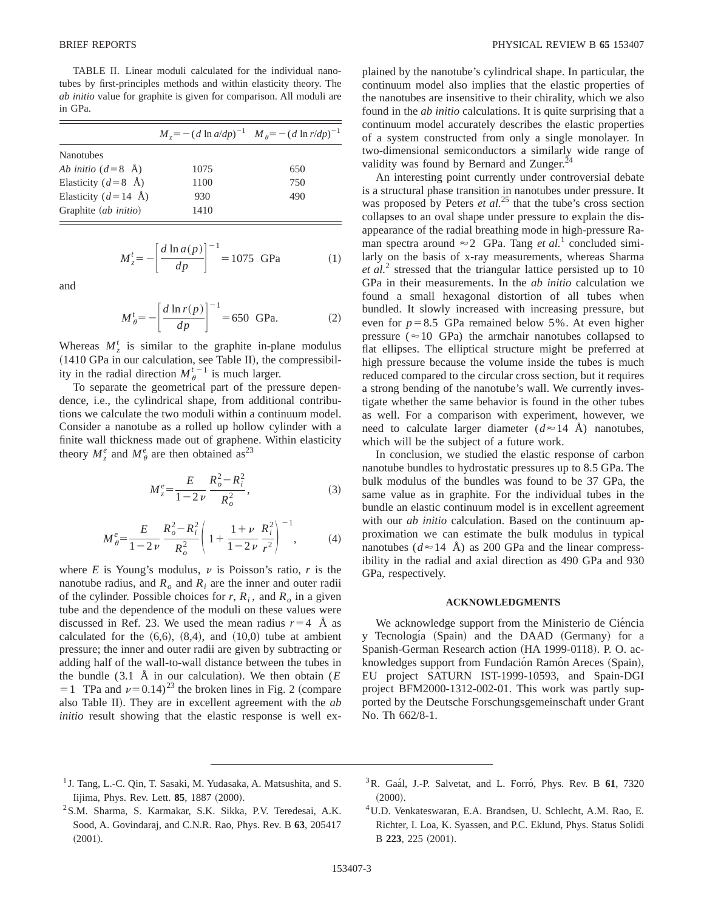TABLE II. Linear moduli calculated for the individual nanotubes by first-principles methods and within elasticity theory. The *ab initio* value for graphite is given for comparison. All moduli are in GPa.

|                             | $M_{z} = -(d \ln a/dp)^{-1}$ $M_{\theta} = -(d \ln r/dp)^{-1}$ |     |
|-----------------------------|----------------------------------------------------------------|-----|
| <b>Nanotubes</b>            |                                                                |     |
| Ab initio $(d=8 \text{ Å})$ | 1075                                                           | 650 |
| Elasticity ( $d=8$ Å)       | 1100                                                           | 750 |
| Elasticity ( $d=14$ Å)      | 930                                                            | 490 |
| Graphite (ab initio)        | 1410                                                           |     |

$$
M_z^t = -\left[\frac{d \ln a(p)}{dp}\right]^{-1} = 1075 \text{ GPa}
$$
 (1)

and

$$
M'_{\theta} = -\left[\frac{d \ln r(p)}{dp}\right]^{-1} = 650 \text{ GPa.}
$$
 (2)

Whereas  $M_z^t$  is similar to the graphite in-plane modulus  $(1410$  GPa in our calculation, see Table II), the compressibility in the radial direction  $M_{\theta}^{t-1}$  is much larger.

To separate the geometrical part of the pressure dependence, i.e., the cylindrical shape, from additional contributions we calculate the two moduli within a continuum model. Consider a nanotube as a rolled up hollow cylinder with a finite wall thickness made out of graphene. Within elasticity theory  $M_z^e$  and  $M_\theta^e$  are then obtained as<sup>23</sup>

$$
M_{z}^{e} = \frac{E}{1 - 2v} \frac{R_{o}^{2} - R_{i}^{2}}{R_{o}^{2}},
$$
\n(3)

$$
M_{\theta}^{e} = \frac{E}{1 - 2\nu} \frac{R_o^2 - R_i^2}{R_o^2} \left( 1 + \frac{1 + \nu}{1 - 2\nu} \frac{R_i^2}{r^2} \right)^{-1},
$$
 (4)

where  $E$  is Young's modulus,  $\nu$  is Poisson's ratio,  $r$  is the nanotube radius, and  $R_0$  and  $R_i$  are the inner and outer radii of the cylinder. Possible choices for  $r, R<sub>i</sub>$ , and  $R<sub>o</sub>$  in a given tube and the dependence of the moduli on these values were discussed in Ref. 23. We used the mean radius  $r=4$  Å as calculated for the  $(6,6)$ ,  $(8,4)$ , and  $(10,0)$  tube at ambient pressure; the inner and outer radii are given by subtracting or adding half of the wall-to-wall distance between the tubes in the bundle  $(3.1 \text{ Å}$  in our calculation). We then obtain  $(E)$  $=1$  TPa and  $\nu=0.14$ <sup>23</sup> the broken lines in Fig. 2 (compare also Table II). They are in excellent agreement with the *ab initio* result showing that the elastic response is well explained by the nanotube's cylindrical shape. In particular, the continuum model also implies that the elastic properties of the nanotubes are insensitive to their chirality, which we also found in the *ab initio* calculations. It is quite surprising that a continuum model accurately describes the elastic properties of a system constructed from only a single monolayer. In two-dimensional semiconductors a similarly wide range of validity was found by Bernard and Zunger.<sup>2</sup>

An interesting point currently under controversial debate is a structural phase transition in nanotubes under pressure. It was proposed by Peters *et al.*<sup>25</sup> that the tube's cross section collapses to an oval shape under pressure to explain the disappearance of the radial breathing mode in high-pressure Raman spectra around  $\approx 2$  GPa. Tang *et al.*<sup>1</sup> concluded similarly on the basis of x-ray measurements, whereas Sharma *et al.*<sup>2</sup> stressed that the triangular lattice persisted up to 10 GPa in their measurements. In the *ab initio* calculation we found a small hexagonal distortion of all tubes when bundled. It slowly increased with increasing pressure, but even for  $p=8.5$  GPa remained below 5%. At even higher pressure ( $\approx$  10 GPa) the armchair nanotubes collapsed to flat ellipses. The elliptical structure might be preferred at high pressure because the volume inside the tubes is much reduced compared to the circular cross section, but it requires a strong bending of the nanotube's wall. We currently investigate whether the same behavior is found in the other tubes as well. For a comparison with experiment, however, we need to calculate larger diameter  $(d \approx 14 \text{ Å})$  nanotubes, which will be the subject of a future work.

In conclusion, we studied the elastic response of carbon nanotube bundles to hydrostatic pressures up to 8.5 GPa. The bulk modulus of the bundles was found to be 37 GPa, the same value as in graphite. For the individual tubes in the bundle an elastic continuum model is in excellent agreement with our *ab initio* calculation. Based on the continuum approximation we can estimate the bulk modulus in typical nanotubes ( $d \approx 14$  Å) as 200 GPa and the linear compressibility in the radial and axial direction as 490 GPa and 930 GPa, respectively.

## **ACKNOWLEDGMENTS**

We acknowledge support from the Ministerio de Ciéncia y Tecnología (Spain) and the DAAD (Germany) for a Spanish-German Research action (HA 1999-0118). P. O. acknowledges support from Fundación Ramón Areces (Spain), EU project SATURN IST-1999-10593, and Spain-DGI project BFM2000-1312-002-01. This work was partly supported by the Deutsche Forschungsgemeinschaft under Grant No. Th 662/8-1.

- <sup>1</sup> J. Tang, L.-C. Qin, T. Sasaki, M. Yudasaka, A. Matsushita, and S. Iijima, Phys. Rev. Lett. **85**, 1887 (2000).
- <sup>3</sup>R. Gaal, J.-P. Salvetat, and L. Forro, Phys. Rev. B 61, 7320  $(2000).$
- <sup>2</sup>S.M. Sharma, S. Karmakar, S.K. Sikka, P.V. Teredesai, A.K. Sood, A. Govindaraj, and C.N.R. Rao, Phys. Rev. B **63**, 205417  $(2001).$
- 4U.D. Venkateswaran, E.A. Brandsen, U. Schlecht, A.M. Rao, E. Richter, I. Loa, K. Syassen, and P.C. Eklund, Phys. Status Solidi B 223, 225 (2001).